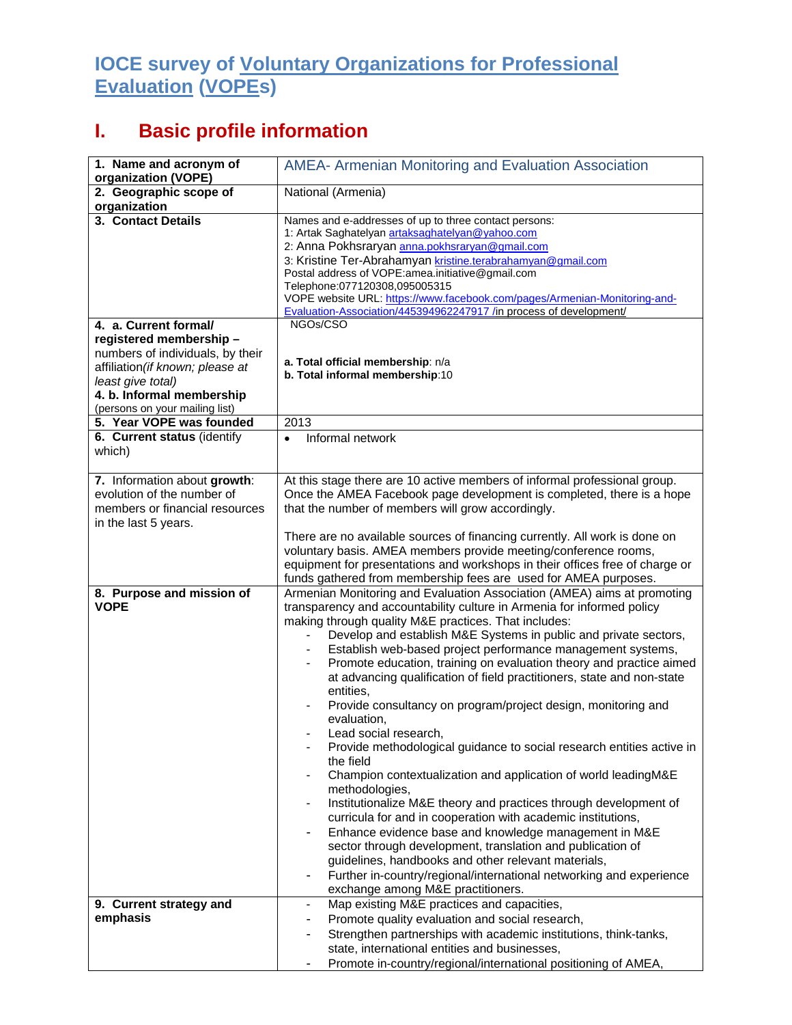## **IOCE survey of Voluntary Organizations for Professional Evaluation (VOPEs)**

## **I. Basic profile information**

| 1. Name and acronym of<br>organization (VOPE)                                                                                                                                                                | <b>AMEA- Armenian Monitoring and Evaluation Association</b>                                                                                                                                                                                                                                                                                                                                                                                                                                                                                                                                                                                                                                                                                                                                                                                                                                                                                                                                                                                                                                                                                                                                                                                   |
|--------------------------------------------------------------------------------------------------------------------------------------------------------------------------------------------------------------|-----------------------------------------------------------------------------------------------------------------------------------------------------------------------------------------------------------------------------------------------------------------------------------------------------------------------------------------------------------------------------------------------------------------------------------------------------------------------------------------------------------------------------------------------------------------------------------------------------------------------------------------------------------------------------------------------------------------------------------------------------------------------------------------------------------------------------------------------------------------------------------------------------------------------------------------------------------------------------------------------------------------------------------------------------------------------------------------------------------------------------------------------------------------------------------------------------------------------------------------------|
| 2. Geographic scope of<br>organization                                                                                                                                                                       | National (Armenia)                                                                                                                                                                                                                                                                                                                                                                                                                                                                                                                                                                                                                                                                                                                                                                                                                                                                                                                                                                                                                                                                                                                                                                                                                            |
| 3. Contact Details                                                                                                                                                                                           | Names and e-addresses of up to three contact persons:<br>1: Artak Saghatelyan artaksaghatelyan@yahoo.com<br>2: Anna Pokhsraryan anna.pokhsraryan@gmail.com<br>3: Kristine Ter-Abrahamyan kristine.terabrahamyan@gmail.com<br>Postal address of VOPE: amea.initiative@gmail.com<br>Telephone:077120308,095005315<br>VOPE website URL: https://www.facebook.com/pages/Armenian-Monitoring-and-<br>Evaluation-Association/445394962247917 /in process of development/                                                                                                                                                                                                                                                                                                                                                                                                                                                                                                                                                                                                                                                                                                                                                                            |
| 4. a. Current formal/<br>registered membership -<br>numbers of individuals, by their<br>affiliation (if known; please at<br>least give total)<br>4. b. Informal membership<br>(persons on your mailing list) | NGOs/CSO<br>a. Total official membership: n/a<br>b. Total informal membership:10                                                                                                                                                                                                                                                                                                                                                                                                                                                                                                                                                                                                                                                                                                                                                                                                                                                                                                                                                                                                                                                                                                                                                              |
| 5. Year VOPE was founded                                                                                                                                                                                     | 2013                                                                                                                                                                                                                                                                                                                                                                                                                                                                                                                                                                                                                                                                                                                                                                                                                                                                                                                                                                                                                                                                                                                                                                                                                                          |
| 6. Current status (identify<br>which)                                                                                                                                                                        | Informal network<br>$\bullet$                                                                                                                                                                                                                                                                                                                                                                                                                                                                                                                                                                                                                                                                                                                                                                                                                                                                                                                                                                                                                                                                                                                                                                                                                 |
| 7. Information about growth:<br>evolution of the number of<br>members or financial resources<br>in the last 5 years.                                                                                         | At this stage there are 10 active members of informal professional group.<br>Once the AMEA Facebook page development is completed, there is a hope<br>that the number of members will grow accordingly.<br>There are no available sources of financing currently. All work is done on<br>voluntary basis. AMEA members provide meeting/conference rooms,<br>equipment for presentations and workshops in their offices free of charge or<br>funds gathered from membership fees are used for AMEA purposes.                                                                                                                                                                                                                                                                                                                                                                                                                                                                                                                                                                                                                                                                                                                                   |
| 8. Purpose and mission of<br><b>VOPE</b>                                                                                                                                                                     | Armenian Monitoring and Evaluation Association (AMEA) aims at promoting<br>transparency and accountability culture in Armenia for informed policy<br>making through quality M&E practices. That includes:<br>Develop and establish M&E Systems in public and private sectors,<br>Establish web-based project performance management systems,<br>Promote education, training on evaluation theory and practice aimed<br>at advancing qualification of field practitioners, state and non-state<br>entities.<br>Provide consultancy on program/project design, monitoring and<br>evaluation,<br>Lead social research,<br>Provide methodological guidance to social research entities active in<br>the field<br>Champion contextualization and application of world leadingM&E<br>methodologies,<br>Institutionalize M&E theory and practices through development of<br>curricula for and in cooperation with academic institutions,<br>Enhance evidence base and knowledge management in M&E<br>$\blacksquare$<br>sector through development, translation and publication of<br>guidelines, handbooks and other relevant materials,<br>Further in-country/regional/international networking and experience<br>exchange among M&E practitioners. |
| 9. Current strategy and<br>emphasis                                                                                                                                                                          | Map existing M&E practices and capacities,<br>$\qquad \qquad \blacksquare$<br>Promote quality evaluation and social research,<br>Strengthen partnerships with academic institutions, think-tanks,<br>state, international entities and businesses,<br>Promote in-country/regional/international positioning of AMEA,<br>۰                                                                                                                                                                                                                                                                                                                                                                                                                                                                                                                                                                                                                                                                                                                                                                                                                                                                                                                     |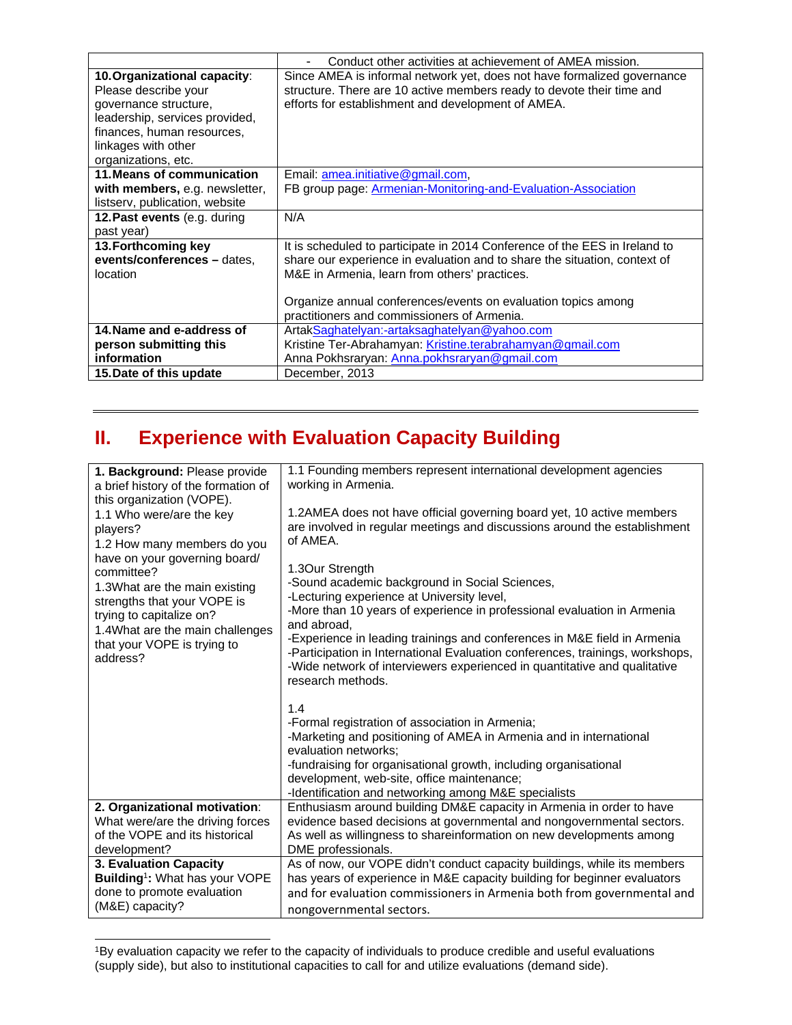|                                | Conduct other activities at achievement of AMEA mission.                   |
|--------------------------------|----------------------------------------------------------------------------|
| 10. Organizational capacity:   | Since AMEA is informal network yet, does not have formalized governance    |
| Please describe your           | structure. There are 10 active members ready to devote their time and      |
| governance structure,          | efforts for establishment and development of AMEA.                         |
| leadership, services provided, |                                                                            |
| finances, human resources,     |                                                                            |
| linkages with other            |                                                                            |
| organizations, etc.            |                                                                            |
| 11. Means of communication     | Email: amea.initiative@gmail.com,                                          |
| with members, e.g. newsletter, | FB group page: Armenian-Monitoring-and-Evaluation-Association              |
| listserv, publication, website |                                                                            |
| 12. Past events (e.g. during   | N/A                                                                        |
| past year)                     |                                                                            |
| 13. Forthcoming key            | It is scheduled to participate in 2014 Conference of the EES in Ireland to |
| events/conferences - dates,    | share our experience in evaluation and to share the situation, context of  |
| location                       | M&E in Armenia, learn from others' practices.                              |
|                                |                                                                            |
|                                | Organize annual conferences/events on evaluation topics among              |
|                                | practitioners and commissioners of Armenia.                                |
| 14. Name and e-address of      | ArtakSaghatelyan:-artaksaghatelyan@yahoo.com                               |
| person submitting this         | Kristine Ter-Abrahamyan: Kristine.terabrahamyan@gmail.com                  |
| information                    | Anna Pokhsraryan: Anna.pokhsraryan@gmail.com                               |
| 15. Date of this update        | December, 2013                                                             |

## **II. Experience with Evaluation Capacity Building**

| 1. Background: Please provide<br>a brief history of the formation of<br>this organization (VOPE).<br>1.1 Who were/are the key<br>players?<br>1.2 How many members do you<br>have on your governing board/<br>committee?<br>1.3What are the main existing<br>strengths that your VOPE is<br>trying to capitalize on?<br>1.4What are the main challenges<br>that your VOPE is trying to<br>address? | 1.1 Founding members represent international development agencies<br>working in Armenia.<br>1.2AMEA does not have official governing board yet, 10 active members<br>are involved in regular meetings and discussions around the establishment<br>of AMEA.<br>1.3Our Strength<br>-Sound academic background in Social Sciences,<br>-Lecturing experience at University level,<br>-More than 10 years of experience in professional evaluation in Armenia<br>and abroad.<br>-Experience in leading trainings and conferences in M&E field in Armenia<br>-Participation in International Evaluation conferences, trainings, workshops,<br>-Wide network of interviewers experienced in quantitative and qualitative<br>research methods.<br>1.4<br>-Formal registration of association in Armenia;<br>-Marketing and positioning of AMEA in Armenia and in international<br>evaluation networks:<br>-fundraising for organisational growth, including organisational<br>development, web-site, office maintenance;<br>-Identification and networking among M&E specialists |
|---------------------------------------------------------------------------------------------------------------------------------------------------------------------------------------------------------------------------------------------------------------------------------------------------------------------------------------------------------------------------------------------------|--------------------------------------------------------------------------------------------------------------------------------------------------------------------------------------------------------------------------------------------------------------------------------------------------------------------------------------------------------------------------------------------------------------------------------------------------------------------------------------------------------------------------------------------------------------------------------------------------------------------------------------------------------------------------------------------------------------------------------------------------------------------------------------------------------------------------------------------------------------------------------------------------------------------------------------------------------------------------------------------------------------------------------------------------------------------------|
| 2. Organizational motivation:                                                                                                                                                                                                                                                                                                                                                                     | Enthusiasm around building DM&E capacity in Armenia in order to have                                                                                                                                                                                                                                                                                                                                                                                                                                                                                                                                                                                                                                                                                                                                                                                                                                                                                                                                                                                                     |
| What were/are the driving forces                                                                                                                                                                                                                                                                                                                                                                  | evidence based decisions at governmental and nongovernmental sectors.                                                                                                                                                                                                                                                                                                                                                                                                                                                                                                                                                                                                                                                                                                                                                                                                                                                                                                                                                                                                    |
| of the VOPE and its historical                                                                                                                                                                                                                                                                                                                                                                    | As well as willingness to shareinformation on new developments among                                                                                                                                                                                                                                                                                                                                                                                                                                                                                                                                                                                                                                                                                                                                                                                                                                                                                                                                                                                                     |
| development?                                                                                                                                                                                                                                                                                                                                                                                      | DME professionals.                                                                                                                                                                                                                                                                                                                                                                                                                                                                                                                                                                                                                                                                                                                                                                                                                                                                                                                                                                                                                                                       |
| 3. Evaluation Capacity                                                                                                                                                                                                                                                                                                                                                                            | As of now, our VOPE didn't conduct capacity buildings, while its members                                                                                                                                                                                                                                                                                                                                                                                                                                                                                                                                                                                                                                                                                                                                                                                                                                                                                                                                                                                                 |
| Building <sup>1</sup> : What has your VOPE                                                                                                                                                                                                                                                                                                                                                        | has years of experience in M&E capacity building for beginner evaluators                                                                                                                                                                                                                                                                                                                                                                                                                                                                                                                                                                                                                                                                                                                                                                                                                                                                                                                                                                                                 |
| done to promote evaluation                                                                                                                                                                                                                                                                                                                                                                        | and for evaluation commissioners in Armenia both from governmental and                                                                                                                                                                                                                                                                                                                                                                                                                                                                                                                                                                                                                                                                                                                                                                                                                                                                                                                                                                                                   |
| (M&E) capacity?                                                                                                                                                                                                                                                                                                                                                                                   | nongovernmental sectors.                                                                                                                                                                                                                                                                                                                                                                                                                                                                                                                                                                                                                                                                                                                                                                                                                                                                                                                                                                                                                                                 |

<sup>1</sup>By evaluation capacity we refer to the capacity of individuals to produce credible and useful evaluations (supply side), but also to institutional capacities to call for and utilize evaluations (demand side).

 $\overline{a}$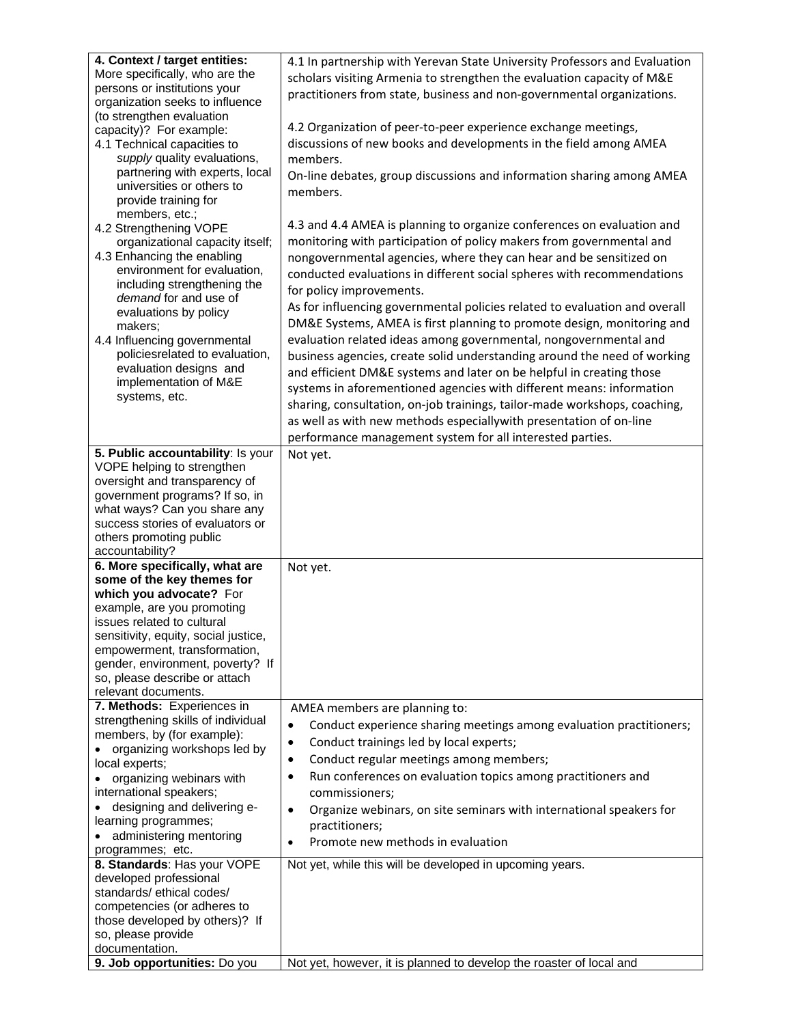| 4. Context / target entities:                                        | 4.1 In partnership with Yerevan State University Professors and Evaluation       |
|----------------------------------------------------------------------|----------------------------------------------------------------------------------|
| More specifically, who are the                                       | scholars visiting Armenia to strengthen the evaluation capacity of M&E           |
| persons or institutions your                                         | practitioners from state, business and non-governmental organizations.           |
| organization seeks to influence                                      |                                                                                  |
| (to strengthen evaluation                                            |                                                                                  |
| capacity)? For example:                                              | 4.2 Organization of peer-to-peer experience exchange meetings,                   |
| 4.1 Technical capacities to                                          | discussions of new books and developments in the field among AMEA                |
| supply quality evaluations,                                          | members.                                                                         |
| partnering with experts, local                                       | On-line debates, group discussions and information sharing among AMEA            |
| universities or others to                                            | members.                                                                         |
| provide training for                                                 |                                                                                  |
| members, etc.;                                                       |                                                                                  |
| 4.2 Strengthening VOPE                                               | 4.3 and 4.4 AMEA is planning to organize conferences on evaluation and           |
| organizational capacity itself;                                      | monitoring with participation of policy makers from governmental and             |
| 4.3 Enhancing the enabling                                           | nongovernmental agencies, where they can hear and be sensitized on               |
| environment for evaluation,                                          | conducted evaluations in different social spheres with recommendations           |
| including strengthening the                                          | for policy improvements.                                                         |
| demand for and use of                                                | As for influencing governmental policies related to evaluation and overall       |
| evaluations by policy                                                |                                                                                  |
| makers;                                                              | DM&E Systems, AMEA is first planning to promote design, monitoring and           |
| 4.4 Influencing governmental                                         | evaluation related ideas among governmental, nongovernmental and                 |
| policiesrelated to evaluation,                                       | business agencies, create solid understanding around the need of working         |
| evaluation designs and                                               | and efficient DM&E systems and later on be helpful in creating those             |
| implementation of M&E                                                | systems in aforementioned agencies with different means: information             |
| systems, etc.                                                        | sharing, consultation, on-job trainings, tailor-made workshops, coaching,        |
|                                                                      | as well as with new methods especiallywith presentation of on-line               |
|                                                                      |                                                                                  |
|                                                                      | performance management system for all interested parties.                        |
| 5. Public accountability: Is your                                    | Not yet.                                                                         |
| VOPE helping to strengthen                                           |                                                                                  |
| oversight and transparency of                                        |                                                                                  |
| government programs? If so, in<br>what ways? Can you share any       |                                                                                  |
| success stories of evaluators or                                     |                                                                                  |
|                                                                      |                                                                                  |
|                                                                      |                                                                                  |
| others promoting public                                              |                                                                                  |
| accountability?                                                      |                                                                                  |
| 6. More specifically, what are                                       | Not yet.                                                                         |
| some of the key themes for                                           |                                                                                  |
| which you advocate? For                                              |                                                                                  |
| example, are you promoting<br>issues related to cultural             |                                                                                  |
|                                                                      |                                                                                  |
| sensitivity, equity, social justice,<br>empowerment, transformation, |                                                                                  |
| gender, environment, poverty? If                                     |                                                                                  |
| so, please describe or attach                                        |                                                                                  |
| relevant documents.                                                  |                                                                                  |
| 7. Methods: Experiences in                                           | AMEA members are planning to:                                                    |
| strengthening skills of individual                                   | $\bullet$                                                                        |
| members, by (for example):                                           | Conduct experience sharing meetings among evaluation practitioners;              |
| organizing workshops led by                                          | Conduct trainings led by local experts;<br>٠                                     |
| local experts;                                                       | Conduct regular meetings among members;<br>$\bullet$                             |
| organizing webinars with                                             | Run conferences on evaluation topics among practitioners and<br>٠                |
| international speakers;                                              | commissioners;                                                                   |
| designing and delivering e-                                          | Organize webinars, on site seminars with international speakers for<br>$\bullet$ |
| learning programmes;                                                 |                                                                                  |
| administering mentoring                                              | practitioners;                                                                   |
| programmes; etc.                                                     | Promote new methods in evaluation<br>$\bullet$                                   |
| 8. Standards: Has your VOPE                                          | Not yet, while this will be developed in upcoming years.                         |
| developed professional                                               |                                                                                  |
| standards/ethical codes/                                             |                                                                                  |
| competencies (or adheres to                                          |                                                                                  |
| those developed by others)? If                                       |                                                                                  |
| so, please provide                                                   |                                                                                  |
| documentation.<br>9. Job opportunities: Do you                       | Not yet, however, it is planned to develop the roaster of local and              |